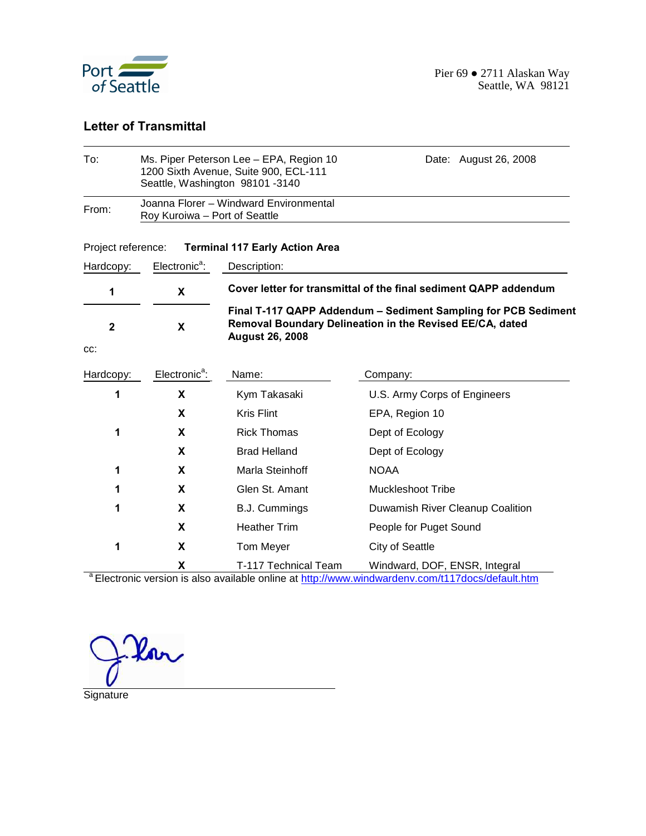

#### **Letter of Transmittal**

| To:                | Ms. Piper Peterson Lee - EPA, Region 10<br>Date: August 26, 2008<br>1200 Sixth Avenue, Suite 900, ECL-111<br>Seattle, Washington 98101-3140 |                                                                                                                                                      |                                                                                                                                              |  |  |  |  |  |  |
|--------------------|---------------------------------------------------------------------------------------------------------------------------------------------|------------------------------------------------------------------------------------------------------------------------------------------------------|----------------------------------------------------------------------------------------------------------------------------------------------|--|--|--|--|--|--|
| From:              | Joanna Florer - Windward Environmental<br>Roy Kuroiwa - Port of Seattle                                                                     |                                                                                                                                                      |                                                                                                                                              |  |  |  |  |  |  |
| Project reference: |                                                                                                                                             | <b>Terminal 117 Early Action Area</b>                                                                                                                |                                                                                                                                              |  |  |  |  |  |  |
| Hardcopy:          | Electronic <sup>a</sup> :                                                                                                                   | Description:                                                                                                                                         |                                                                                                                                              |  |  |  |  |  |  |
| 1                  | X                                                                                                                                           |                                                                                                                                                      | Cover letter for transmittal of the final sediment QAPP addendum                                                                             |  |  |  |  |  |  |
| $\mathbf 2$<br>CC: | X                                                                                                                                           | Final T-117 QAPP Addendum - Sediment Sampling for PCB Sediment<br>Removal Boundary Delineation in the Revised EE/CA, dated<br><b>August 26, 2008</b> |                                                                                                                                              |  |  |  |  |  |  |
| Hardcopy:          | Electronic <sup>a</sup> :                                                                                                                   | Name:                                                                                                                                                | Company:                                                                                                                                     |  |  |  |  |  |  |
| 1                  | X                                                                                                                                           | Kym Takasaki                                                                                                                                         | U.S. Army Corps of Engineers                                                                                                                 |  |  |  |  |  |  |
|                    | X                                                                                                                                           | <b>Kris Flint</b>                                                                                                                                    | EPA, Region 10                                                                                                                               |  |  |  |  |  |  |
| 1<br>X             |                                                                                                                                             | <b>Rick Thomas</b>                                                                                                                                   | Dept of Ecology                                                                                                                              |  |  |  |  |  |  |
|                    | X                                                                                                                                           | <b>Brad Helland</b>                                                                                                                                  | Dept of Ecology                                                                                                                              |  |  |  |  |  |  |
| 1                  | X                                                                                                                                           | Marla Steinhoff                                                                                                                                      | <b>NOAA</b>                                                                                                                                  |  |  |  |  |  |  |
| 1                  | X                                                                                                                                           | Glen St. Amant                                                                                                                                       | <b>Muckleshoot Tribe</b>                                                                                                                     |  |  |  |  |  |  |
| 1                  | X                                                                                                                                           | <b>B.J. Cummings</b>                                                                                                                                 | Duwamish River Cleanup Coalition                                                                                                             |  |  |  |  |  |  |
|                    | X                                                                                                                                           | <b>Heather Trim</b>                                                                                                                                  | People for Puget Sound                                                                                                                       |  |  |  |  |  |  |
| 1                  | X                                                                                                                                           | Tom Meyer                                                                                                                                            | City of Seattle                                                                                                                              |  |  |  |  |  |  |
|                    | X                                                                                                                                           | T-117 Technical Team                                                                                                                                 | Windward, DOF, ENSR, Integral<br><sup>a</sup> Floatrania vargian ja olee ovailable enline at http://www.windwardeny.com/t147deep/default.htm |  |  |  |  |  |  |

Electronic version is also available online at http://www.windwardenv.com/t117docs/default.htm

Kar

Signature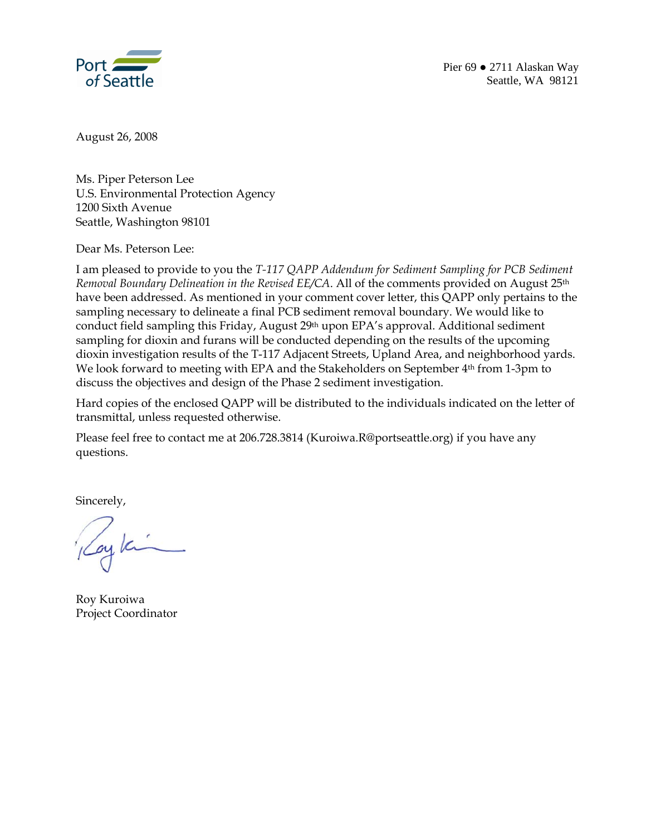

August 26, 2008

Ms. Piper Peterson Lee U.S. Environmental Protection Agency 1200 Sixth Avenue Seattle, Washington 98101

Dear Ms. Peterson Lee:

I am pleased to provide to you the *T-117 QAPP Addendum for Sediment Sampling for PCB Sediment Removal Boundary Delineation in the Revised EE/CA*. All of the comments provided on August 25<sup>th</sup> have been addressed. As mentioned in your comment cover letter, this QAPP only pertains to the sampling necessary to delineate a final PCB sediment removal boundary. We would like to conduct field sampling this Friday, August 29th upon EPA's approval. Additional sediment sampling for dioxin and furans will be conducted depending on the results of the upcoming dioxin investigation results of the T-117 Adjacent Streets, Upland Area, and neighborhood yards. We look forward to meeting with EPA and the Stakeholders on September 4th from 1-3pm to discuss the objectives and design of the Phase 2 sediment investigation.

Hard copies of the enclosed QAPP will be distributed to the individuals indicated on the letter of transmittal, unless requested otherwise.

Please feel free to contact me at 206.728.3814 (Kuroiwa.R@portseattle.org) if you have any questions.

Sincerely,

by Ki

Roy Kuroiwa Project Coordinator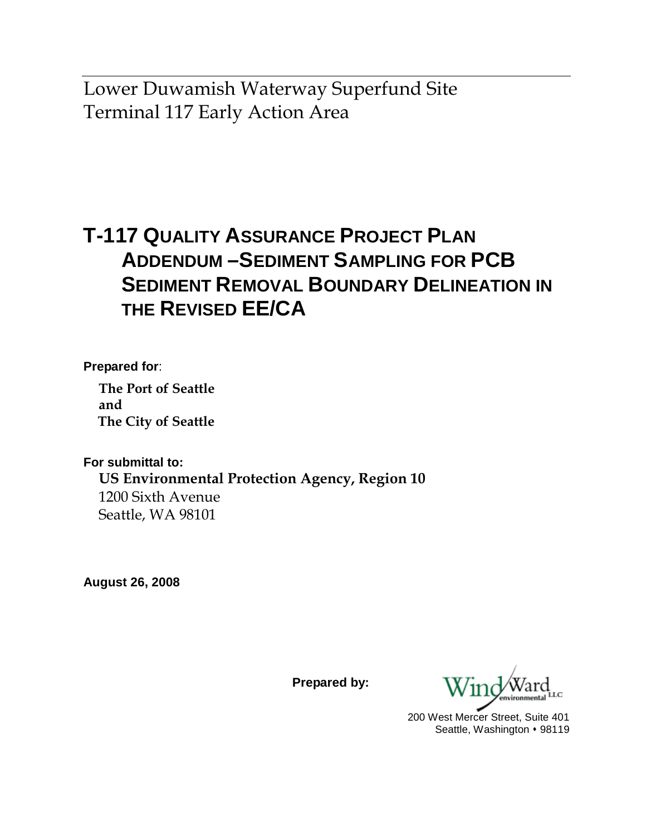Lower Duwamish Waterway Superfund Site Terminal 117 Early Action Area

# **T-117 QUALITY ASSURANCE PROJECT PLAN ADDENDUM –SEDIMENT SAMPLING FOR PCB SEDIMENT REMOVAL BOUNDARY DELINEATION IN THE REVISED EE/CA**

**Prepared for**:

**The Port of Seattle and The City of Seattle** 

**For submittal to: US Environmental Protection Agency, Region 10**  1200 Sixth Avenue Seattle, WA 98101

**August 26, 2008** 

**Prepared by:** 

200 West Mercer Street, Suite 401 Seattle, Washington • 98119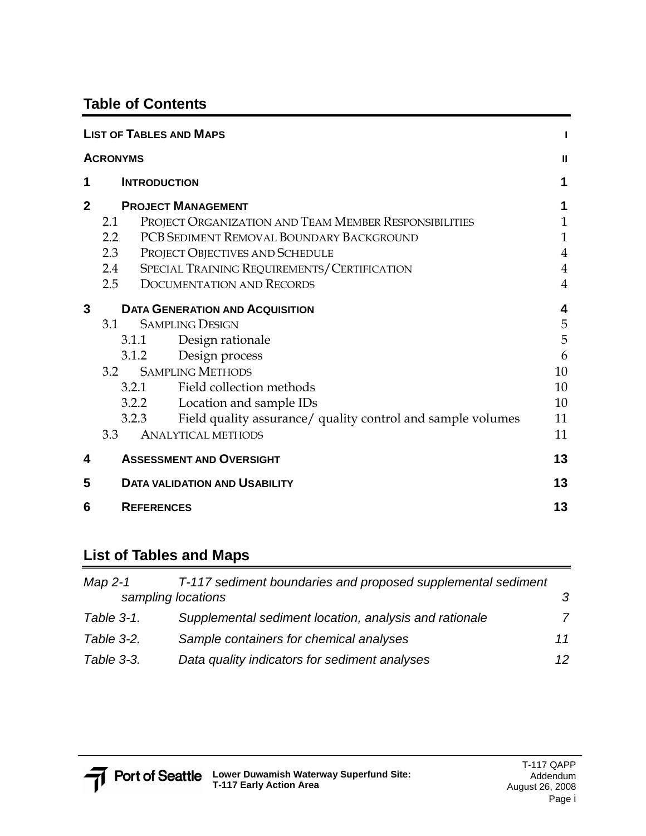### **Table of Contents**

|                | <b>LIST OF TABLES AND MAPS</b>                                       |                |
|----------------|----------------------------------------------------------------------|----------------|
|                | <b>ACRONYMS</b>                                                      | Ш              |
| 1              | <b>INTRODUCTION</b>                                                  | 1              |
| $\overline{2}$ | <b>PROJECT MANAGEMENT</b>                                            |                |
|                | PROJECT ORGANIZATION AND TEAM MEMBER RESPONSIBILITIES<br>2.1         | 1              |
|                | PCB SEDIMENT REMOVAL BOUNDARY BACKGROUND<br>$2.2\phantom{0}$         | $\mathbf{1}$   |
|                | 2.3<br>PROJECT OBJECTIVES AND SCHEDULE                               | $\overline{4}$ |
|                | 2.4 SPECIAL TRAINING REQUIREMENTS/CERTIFICATION                      | $\overline{4}$ |
|                | 2.5 DOCUMENTATION AND RECORDS                                        | $\overline{4}$ |
| 3              | <b>DATA GENERATION AND ACQUISITION</b>                               | 4              |
|                | <b>SAMPLING DESIGN</b><br>3.1                                        | 5              |
|                | Design rationale<br>3.1.1                                            | 5              |
|                | Design process<br>3.1.2                                              | 6              |
|                | <b>SAMPLING METHODS</b><br>3.2                                       | 10             |
|                | 3.2.1 Field collection methods                                       | 10             |
|                | 3.2.2 Location and sample IDs                                        | 10             |
|                | Field quality assurance/ quality control and sample volumes<br>3.2.3 | 11             |
|                | <b>ANALYTICAL METHODS</b><br>3.3                                     | 11             |
| 4              | <b>ASSESSMENT AND OVERSIGHT</b>                                      | 13             |
| 5              | <b>DATA VALIDATION AND USABILITY</b>                                 | 13             |
| 6              | <b>REFERENCES</b>                                                    | 13             |

### **List of Tables and Maps**

| Map 2-1<br>sampling locations | T-117 sediment boundaries and proposed supplemental sediment | $\mathcal{S}$ |
|-------------------------------|--------------------------------------------------------------|---------------|
| Table 3-1.                    | Supplemental sediment location, analysis and rationale       | 7             |
| Table 3-2.                    | Sample containers for chemical analyses                      | 11            |
| Table 3-3.                    | Data quality indicators for sediment analyses                | 12.           |

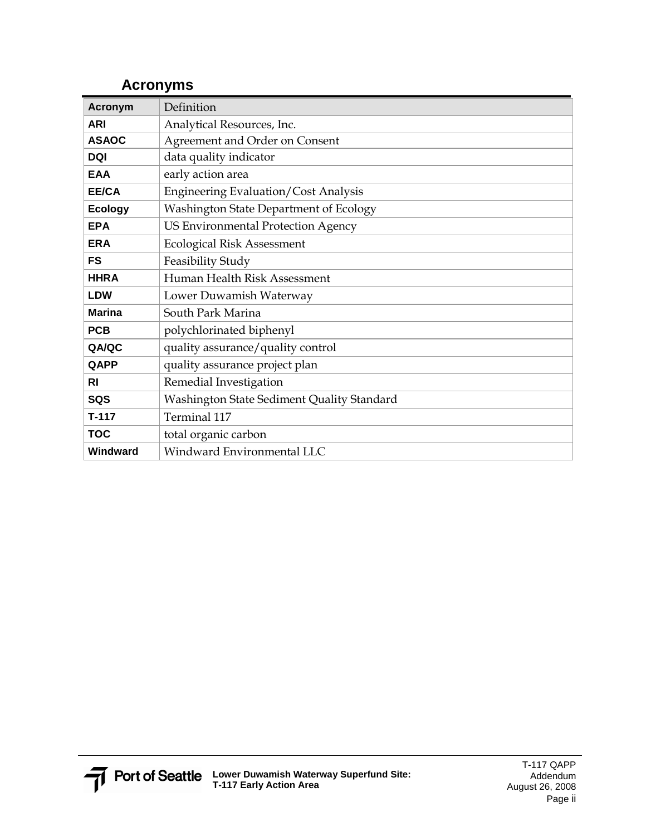| <b>Acronym</b> | Definition                                  |
|----------------|---------------------------------------------|
| <b>ARI</b>     | Analytical Resources, Inc.                  |
| <b>ASAOC</b>   | Agreement and Order on Consent              |
| <b>DQI</b>     | data quality indicator                      |
| <b>EAA</b>     | early action area                           |
| <b>EE/CA</b>   | <b>Engineering Evaluation/Cost Analysis</b> |
| <b>Ecology</b> | Washington State Department of Ecology      |
| <b>EPA</b>     | <b>US Environmental Protection Agency</b>   |
| <b>ERA</b>     | <b>Ecological Risk Assessment</b>           |
| FS             | Feasibility Study                           |
| <b>HHRA</b>    | Human Health Risk Assessment                |
| <b>LDW</b>     | Lower Duwamish Waterway                     |
| <b>Marina</b>  | South Park Marina                           |
| <b>PCB</b>     | polychlorinated biphenyl                    |
| QA/QC          | quality assurance/quality control           |
| QAPP           | quality assurance project plan              |
| RI             | Remedial Investigation                      |
| SQS            | Washington State Sediment Quality Standard  |
| $T-117$        | Terminal 117                                |
| <b>TOC</b>     | total organic carbon                        |
| Windward       | Windward Environmental LLC                  |

#### **Acronyms**

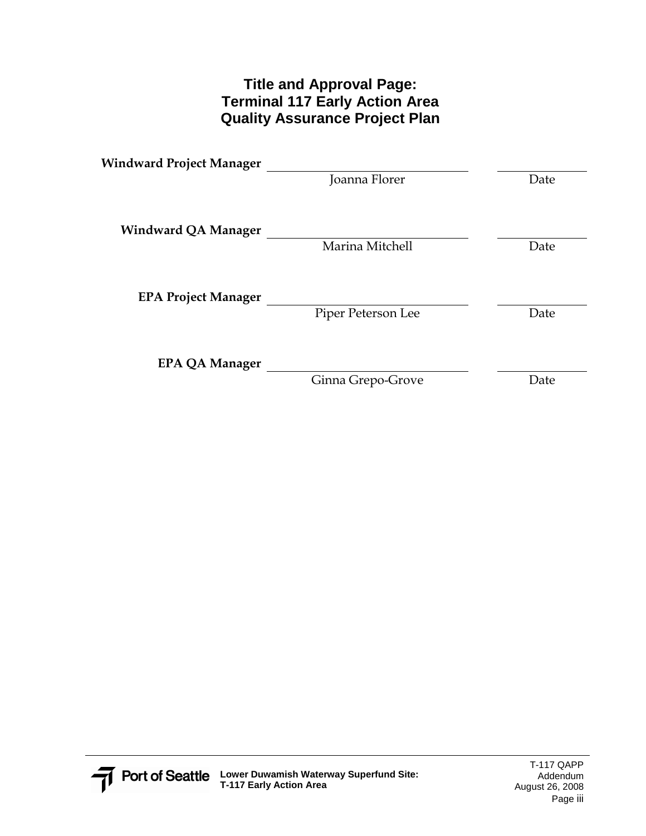#### **Title and Approval Page: Terminal 117 Early Action Area Quality Assurance Project Plan**

| <b>Windward Project Manager</b> |                    |      |
|---------------------------------|--------------------|------|
|                                 | Joanna Florer      | Date |
| <b>Windward QA Manager</b>      |                    |      |
|                                 | Marina Mitchell    | Date |
| <b>EPA Project Manager</b>      |                    |      |
|                                 | Piper Peterson Lee | Date |
| <b>EPA QA Manager</b>           |                    |      |
|                                 | Ginna Grepo-Grove  | Date |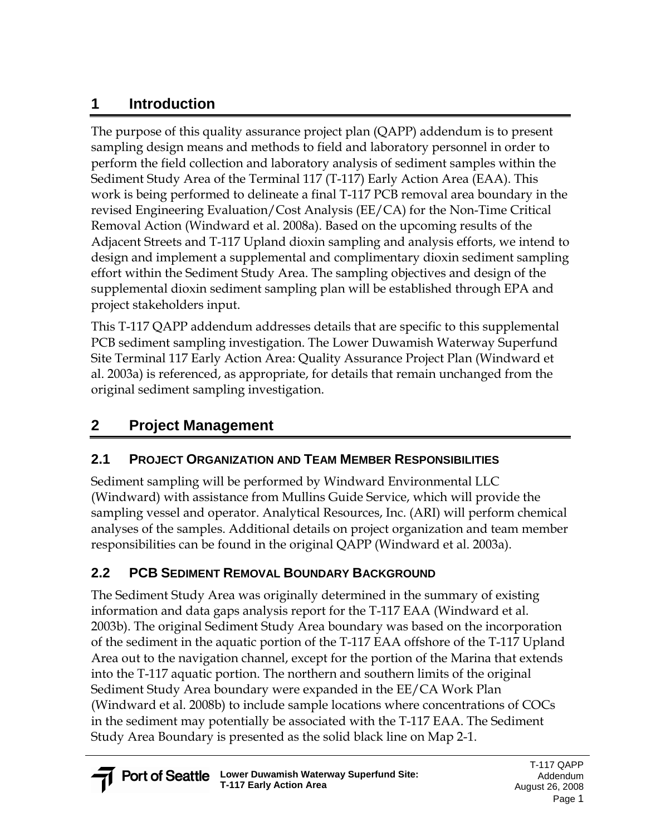## **1 Introduction**

The purpose of this quality assurance project plan (QAPP) addendum is to present sampling design means and methods to field and laboratory personnel in order to perform the field collection and laboratory analysis of sediment samples within the Sediment Study Area of the Terminal 117 (T-117) Early Action Area (EAA). This work is being performed to delineate a final T-117 PCB removal area boundary in the revised Engineering Evaluation/Cost Analysis (EE/CA) for the Non-Time Critical Removal Action (Windward et al. 2008a). Based on the upcoming results of the Adjacent Streets and T-117 Upland dioxin sampling and analysis efforts, we intend to design and implement a supplemental and complimentary dioxin sediment sampling effort within the Sediment Study Area. The sampling objectives and design of the supplemental dioxin sediment sampling plan will be established through EPA and project stakeholders input.

This T-117 QAPP addendum addresses details that are specific to this supplemental PCB sediment sampling investigation. The Lower Duwamish Waterway Superfund Site Terminal 117 Early Action Area: Quality Assurance Project Plan (Windward et al. 2003a) is referenced, as appropriate, for details that remain unchanged from the original sediment sampling investigation.

# **2 Project Management**

### **2.1 PROJECT ORGANIZATION AND TEAM MEMBER RESPONSIBILITIES**

Sediment sampling will be performed by Windward Environmental LLC (Windward) with assistance from Mullins Guide Service, which will provide the sampling vessel and operator. Analytical Resources, Inc. (ARI) will perform chemical analyses of the samples. Additional details on project organization and team member responsibilities can be found in the original QAPP (Windward et al. 2003a).

## **2.2 PCB SEDIMENT REMOVAL BOUNDARY BACKGROUND**

The Sediment Study Area was originally determined in the summary of existing information and data gaps analysis report for the T-117 EAA (Windward et al. 2003b). The original Sediment Study Area boundary was based on the incorporation of the sediment in the aquatic portion of the T-117 EAA offshore of the T-117 Upland Area out to the navigation channel, except for the portion of the Marina that extends into the T-117 aquatic portion. The northern and southern limits of the original Sediment Study Area boundary were expanded in the EE/CA Work Plan (Windward et al. 2008b) to include sample locations where concentrations of COCs in the sediment may potentially be associated with the T-117 EAA. The Sediment Study Area Boundary is presented as the solid black line on Map 2-1.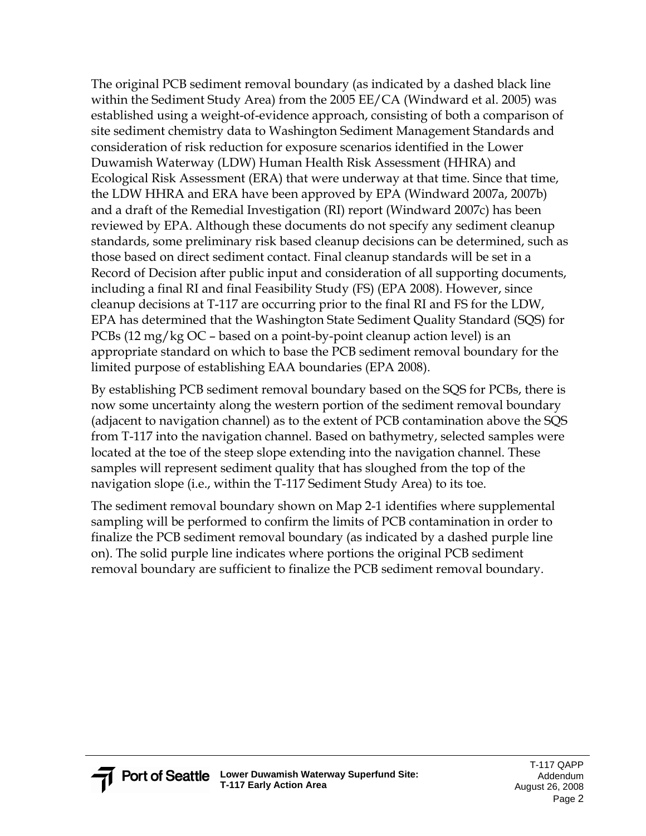The original PCB sediment removal boundary (as indicated by a dashed black line within the Sediment Study Area) from the 2005 EE/CA (Windward et al. 2005) was established using a weight-of-evidence approach, consisting of both a comparison of site sediment chemistry data to Washington Sediment Management Standards and consideration of risk reduction for exposure scenarios identified in the Lower Duwamish Waterway (LDW) Human Health Risk Assessment (HHRA) and Ecological Risk Assessment (ERA) that were underway at that time. Since that time, the LDW HHRA and ERA have been approved by EPA (Windward 2007a, 2007b) and a draft of the Remedial Investigation (RI) report (Windward 2007c) has been reviewed by EPA. Although these documents do not specify any sediment cleanup standards, some preliminary risk based cleanup decisions can be determined, such as those based on direct sediment contact. Final cleanup standards will be set in a Record of Decision after public input and consideration of all supporting documents, including a final RI and final Feasibility Study (FS) (EPA 2008). However, since cleanup decisions at T-117 are occurring prior to the final RI and FS for the LDW, EPA has determined that the Washington State Sediment Quality Standard (SQS) for PCBs (12 mg/kg OC – based on a point-by-point cleanup action level) is an appropriate standard on which to base the PCB sediment removal boundary for the limited purpose of establishing EAA boundaries (EPA 2008).

By establishing PCB sediment removal boundary based on the SQS for PCBs, there is now some uncertainty along the western portion of the sediment removal boundary (adjacent to navigation channel) as to the extent of PCB contamination above the SQS from T-117 into the navigation channel. Based on bathymetry, selected samples were located at the toe of the steep slope extending into the navigation channel. These samples will represent sediment quality that has sloughed from the top of the navigation slope (i.e., within the T-117 Sediment Study Area) to its toe.

The sediment removal boundary shown on Map 2-1 identifies where supplemental sampling will be performed to confirm the limits of PCB contamination in order to finalize the PCB sediment removal boundary (as indicated by a dashed purple line on). The solid purple line indicates where portions the original PCB sediment removal boundary are sufficient to finalize the PCB sediment removal boundary.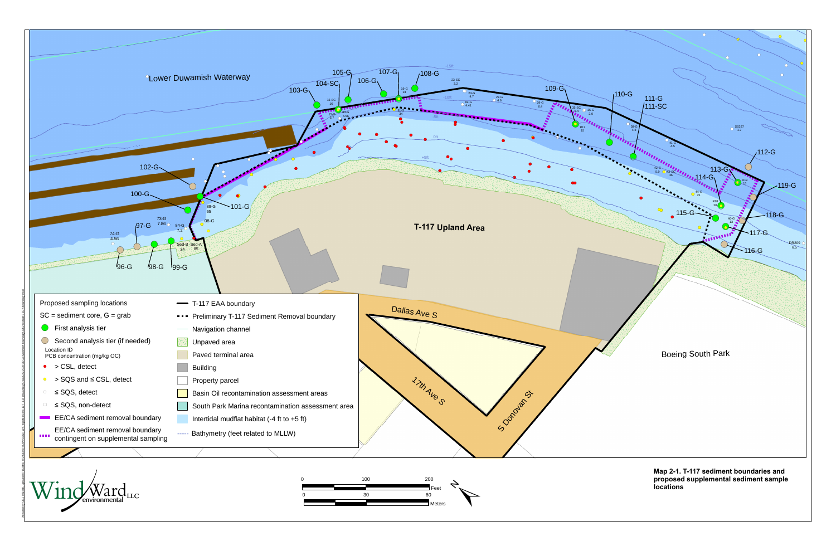

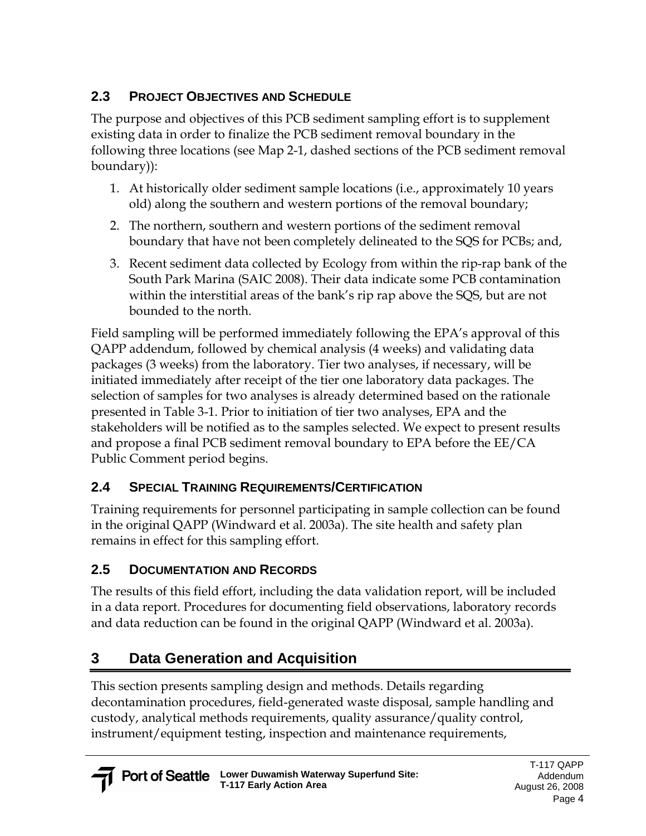### **2.3 PROJECT OBJECTIVES AND SCHEDULE**

The purpose and objectives of this PCB sediment sampling effort is to supplement existing data in order to finalize the PCB sediment removal boundary in the following three locations (see Map 2-1, dashed sections of the PCB sediment removal boundary)):

- 1. At historically older sediment sample locations (i.e., approximately 10 years old) along the southern and western portions of the removal boundary;
- 2. The northern, southern and western portions of the sediment removal boundary that have not been completely delineated to the SQS for PCBs; and,
- 3. Recent sediment data collected by Ecology from within the rip-rap bank of the South Park Marina (SAIC 2008). Their data indicate some PCB contamination within the interstitial areas of the bank's rip rap above the SQS, but are not bounded to the north.

Field sampling will be performed immediately following the EPA's approval of this QAPP addendum, followed by chemical analysis (4 weeks) and validating data packages (3 weeks) from the laboratory. Tier two analyses, if necessary, will be initiated immediately after receipt of the tier one laboratory data packages. The selection of samples for two analyses is already determined based on the rationale presented in Table 3-1. Prior to initiation of tier two analyses, EPA and the stakeholders will be notified as to the samples selected. We expect to present results and propose a final PCB sediment removal boundary to EPA before the EE/CA Public Comment period begins.

## **2.4 SPECIAL TRAINING REQUIREMENTS/CERTIFICATION**

Training requirements for personnel participating in sample collection can be found in the original QAPP (Windward et al. 2003a). The site health and safety plan remains in effect for this sampling effort.

## **2.5 DOCUMENTATION AND RECORDS**

The results of this field effort, including the data validation report, will be included in a data report. Procedures for documenting field observations, laboratory records and data reduction can be found in the original QAPP (Windward et al. 2003a).

# **3 Data Generation and Acquisition**

This section presents sampling design and methods. Details regarding decontamination procedures, field-generated waste disposal, sample handling and custody, analytical methods requirements, quality assurance/quality control, instrument/equipment testing, inspection and maintenance requirements,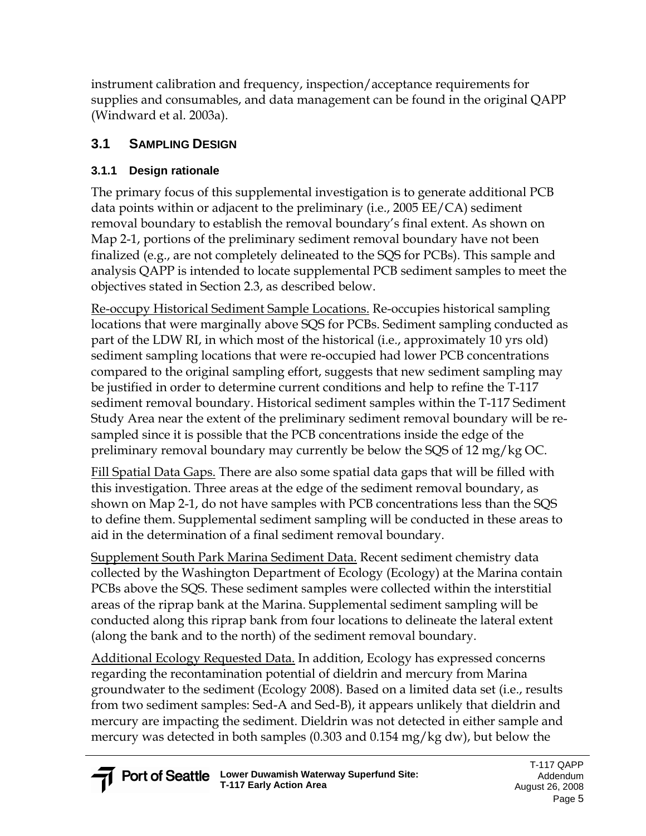instrument calibration and frequency, inspection/acceptance requirements for supplies and consumables, and data management can be found in the original QAPP (Windward et al. 2003a).

### **3.1 SAMPLING DESIGN**

#### **3.1.1 Design rationale**

The primary focus of this supplemental investigation is to generate additional PCB data points within or adjacent to the preliminary (i.e., 2005 EE/CA) sediment removal boundary to establish the removal boundary's final extent. As shown on Map 2-1, portions of the preliminary sediment removal boundary have not been finalized (e.g., are not completely delineated to the SQS for PCBs). This sample and analysis QAPP is intended to locate supplemental PCB sediment samples to meet the objectives stated in Section 2.3, as described below.

Re-occupy Historical Sediment Sample Locations. Re-occupies historical sampling locations that were marginally above SQS for PCBs. Sediment sampling conducted as part of the LDW RI, in which most of the historical (i.e., approximately 10 yrs old) sediment sampling locations that were re-occupied had lower PCB concentrations compared to the original sampling effort, suggests that new sediment sampling may be justified in order to determine current conditions and help to refine the T-117 sediment removal boundary. Historical sediment samples within the T-117 Sediment Study Area near the extent of the preliminary sediment removal boundary will be resampled since it is possible that the PCB concentrations inside the edge of the preliminary removal boundary may currently be below the SQS of 12 mg/kg OC.

Fill Spatial Data Gaps. There are also some spatial data gaps that will be filled with this investigation. Three areas at the edge of the sediment removal boundary, as shown on Map 2-1, do not have samples with PCB concentrations less than the SQS to define them. Supplemental sediment sampling will be conducted in these areas to aid in the determination of a final sediment removal boundary.

Supplement South Park Marina Sediment Data. Recent sediment chemistry data collected by the Washington Department of Ecology (Ecology) at the Marina contain PCBs above the SQS. These sediment samples were collected within the interstitial areas of the riprap bank at the Marina. Supplemental sediment sampling will be conducted along this riprap bank from four locations to delineate the lateral extent (along the bank and to the north) of the sediment removal boundary.

Additional Ecology Requested Data. In addition, Ecology has expressed concerns regarding the recontamination potential of dieldrin and mercury from Marina groundwater to the sediment (Ecology 2008). Based on a limited data set (i.e., results from two sediment samples: Sed-A and Sed-B), it appears unlikely that dieldrin and mercury are impacting the sediment. Dieldrin was not detected in either sample and mercury was detected in both samples (0.303 and 0.154 mg/kg dw), but below the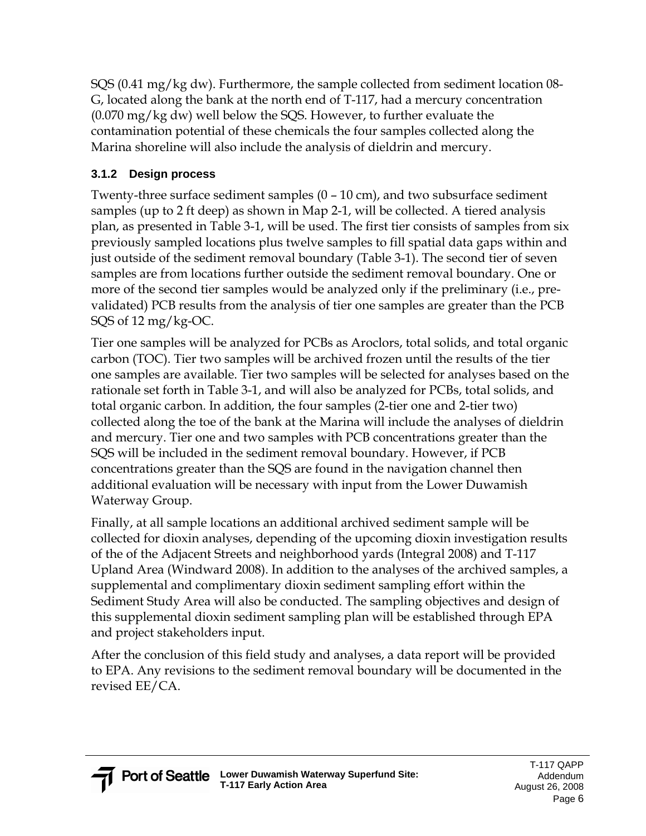SQS (0.41 mg/kg dw). Furthermore, the sample collected from sediment location 08- G, located along the bank at the north end of T-117, had a mercury concentration (0.070 mg/kg dw) well below the SQS. However, to further evaluate the contamination potential of these chemicals the four samples collected along the Marina shoreline will also include the analysis of dieldrin and mercury.

### **3.1.2 Design process**

Twenty-three surface sediment samples (0 – 10 cm), and two subsurface sediment samples (up to 2 ft deep) as shown in Map 2-1, will be collected. A tiered analysis plan, as presented in Table 3-1, will be used. The first tier consists of samples from six previously sampled locations plus twelve samples to fill spatial data gaps within and just outside of the sediment removal boundary (Table 3-1). The second tier of seven samples are from locations further outside the sediment removal boundary. One or more of the second tier samples would be analyzed only if the preliminary (i.e., prevalidated) PCB results from the analysis of tier one samples are greater than the PCB SQS of 12 mg/kg-OC.

Tier one samples will be analyzed for PCBs as Aroclors, total solids, and total organic carbon (TOC). Tier two samples will be archived frozen until the results of the tier one samples are available. Tier two samples will be selected for analyses based on the rationale set forth in Table 3-1, and will also be analyzed for PCBs, total solids, and total organic carbon. In addition, the four samples (2-tier one and 2-tier two) collected along the toe of the bank at the Marina will include the analyses of dieldrin and mercury. Tier one and two samples with PCB concentrations greater than the SQS will be included in the sediment removal boundary. However, if PCB concentrations greater than the SQS are found in the navigation channel then additional evaluation will be necessary with input from the Lower Duwamish Waterway Group.

Finally, at all sample locations an additional archived sediment sample will be collected for dioxin analyses, depending of the upcoming dioxin investigation results of the of the Adjacent Streets and neighborhood yards (Integral 2008) and T-117 Upland Area (Windward 2008). In addition to the analyses of the archived samples, a supplemental and complimentary dioxin sediment sampling effort within the Sediment Study Area will also be conducted. The sampling objectives and design of this supplemental dioxin sediment sampling plan will be established through EPA and project stakeholders input.

After the conclusion of this field study and analyses, a data report will be provided to EPA. Any revisions to the sediment removal boundary will be documented in the revised EE/CA.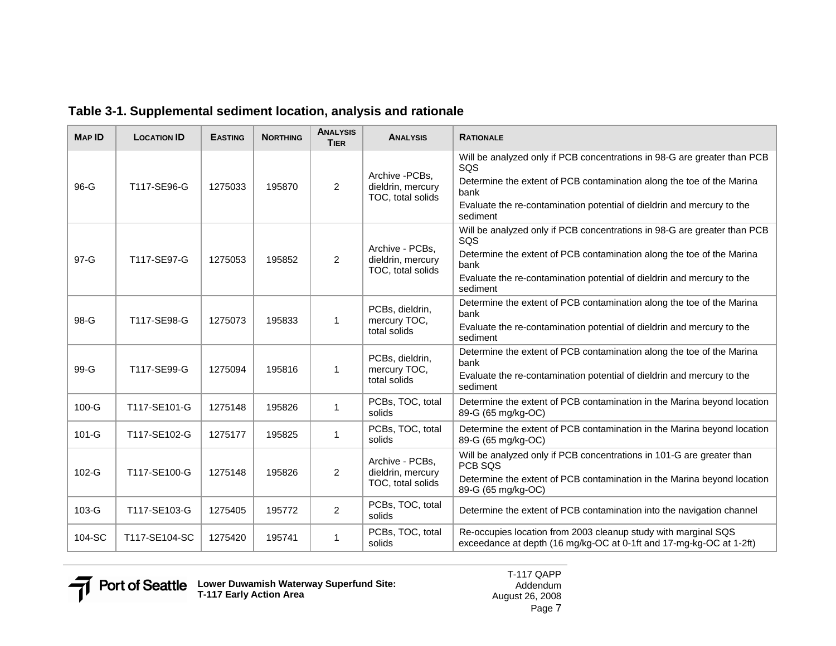| <b>MAP ID</b> | <b>LOCATION ID</b> | <b>EASTING</b> | <b>NORTHING</b> | <b>ANALYSIS</b><br><b>TIER</b> | <b>ANALYSIS</b>                                           | <b>RATIONALE</b>                                                                                                                                                                                                                                       |
|---------------|--------------------|----------------|-----------------|--------------------------------|-----------------------------------------------------------|--------------------------------------------------------------------------------------------------------------------------------------------------------------------------------------------------------------------------------------------------------|
| 96-G          | T117-SE96-G        | 1275033        | 195870          | 2                              | Archive - PCBs,<br>dieldrin, mercury<br>TOC, total solids | Will be analyzed only if PCB concentrations in 98-G are greater than PCB<br>SQS<br>Determine the extent of PCB contamination along the toe of the Marina<br>bank<br>Evaluate the re-contamination potential of dieldrin and mercury to the<br>sediment |
| 97-G          | T117-SE97-G        | 1275053        | 195852          | 2                              | Archive - PCBs,<br>dieldrin, mercury<br>TOC, total solids | Will be analyzed only if PCB concentrations in 98-G are greater than PCB<br>SQS<br>Determine the extent of PCB contamination along the toe of the Marina<br>bank<br>Evaluate the re-contamination potential of dieldrin and mercury to the<br>sediment |
| 98-G          | T117-SE98-G        | 1275073        | 195833          | 1                              | PCBs, dieldrin,<br>mercury TOC,<br>total solids           | Determine the extent of PCB contamination along the toe of the Marina<br>bank<br>Evaluate the re-contamination potential of dieldrin and mercury to the<br>sediment                                                                                    |
| $99-G$        | T117-SE99-G        | 1275094        | 195816          | 1                              | PCBs, dieldrin,<br>mercury TOC,<br>total solids           | Determine the extent of PCB contamination along the toe of the Marina<br>bank<br>Evaluate the re-contamination potential of dieldrin and mercury to the<br>sediment                                                                                    |
| $100-G$       | T117-SE101-G       | 1275148        | 195826          | $\mathbf{1}$                   | PCBs, TOC, total<br>solids                                | Determine the extent of PCB contamination in the Marina beyond location<br>89-G (65 mg/kg-OC)                                                                                                                                                          |
| $101-G$       | T117-SE102-G       | 1275177        | 195825          | $\mathbf{1}$                   | PCBs, TOC, total<br>solids                                | Determine the extent of PCB contamination in the Marina beyond location<br>89-G (65 mg/kg-OC)                                                                                                                                                          |
| $102-G$       | T117-SE100-G       | 1275148        | 195826          | $\overline{2}$                 | Archive - PCBs,<br>dieldrin, mercury<br>TOC, total solids | Will be analyzed only if PCB concentrations in 101-G are greater than<br>PCB SQS<br>Determine the extent of PCB contamination in the Marina beyond location<br>89-G (65 mg/kg-OC)                                                                      |
| 103-G         | T117-SE103-G       | 1275405        | 195772          | $\overline{2}$                 | PCBs, TOC, total<br>solids                                | Determine the extent of PCB contamination into the navigation channel                                                                                                                                                                                  |
| 104-SC        | T117-SE104-SC      | 1275420        | 195741          | $\mathbf{1}$                   | PCBs, TOC, total<br>solids                                | Re-occupies location from 2003 cleanup study with marginal SQS<br>exceedance at depth (16 mg/kg-OC at 0-1ft and 17-mg-kg-OC at 1-2ft)                                                                                                                  |

#### **Table 3-1. Supplemental sediment location, analysis and rationale**



T-117 QAPP Addendum August 26, 2008Page 7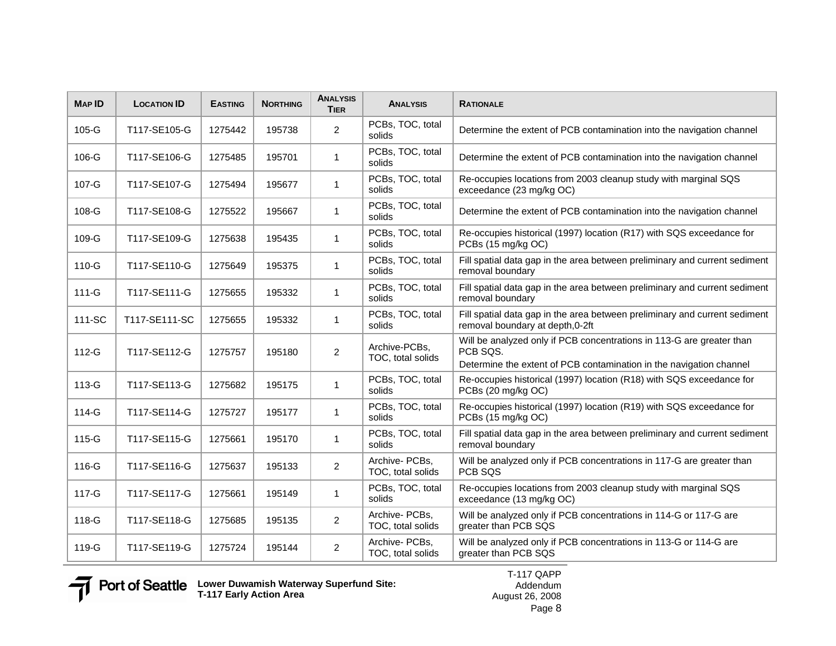| <b>MAP ID</b> | <b>LOCATION ID</b> | <b>EASTING</b> | <b>NORTHING</b> | <b>ANALYSIS</b><br><b>TIER</b> | <b>ANALYSIS</b>                                                                                                                  | <b>RATIONALE</b>                                                                                                                                         |  |  |  |
|---------------|--------------------|----------------|-----------------|--------------------------------|----------------------------------------------------------------------------------------------------------------------------------|----------------------------------------------------------------------------------------------------------------------------------------------------------|--|--|--|
| $105-G$       | T117-SE105-G       | 1275442        | 195738          | $\overline{2}$                 | PCBs, TOC, total<br>solids                                                                                                       | Determine the extent of PCB contamination into the navigation channel                                                                                    |  |  |  |
| 106-G         | T117-SE106-G       | 1275485        | 195701          | $\mathbf{1}$                   | PCBs, TOC, total<br>solids                                                                                                       | Determine the extent of PCB contamination into the navigation channel                                                                                    |  |  |  |
| 107-G         | T117-SE107-G       | 1275494        | 195677          | $\mathbf{1}$                   | PCBs, TOC, total<br>solids                                                                                                       | Re-occupies locations from 2003 cleanup study with marginal SQS<br>exceedance (23 mg/kg OC)                                                              |  |  |  |
| 108-G         | T117-SE108-G       | 1275522        | 195667          | $\mathbf{1}$                   | PCBs, TOC, total<br>solids                                                                                                       | Determine the extent of PCB contamination into the navigation channel                                                                                    |  |  |  |
| $109-G$       | T117-SE109-G       | 1275638        | 195435          | $\mathbf{1}$                   | PCBs, TOC, total<br>solids                                                                                                       | Re-occupies historical (1997) location (R17) with SQS exceedance for<br>PCBs (15 mg/kg OC)                                                               |  |  |  |
| 110-G         | T117-SE110-G       | 1275649        | 195375          | $\mathbf{1}$                   | PCBs, TOC, total<br>solids                                                                                                       | Fill spatial data gap in the area between preliminary and current sediment<br>removal boundary                                                           |  |  |  |
| $111 - G$     | T117-SE111-G       | 1275655        | 195332          | $\mathbf{1}$                   | PCBs, TOC, total<br>solids                                                                                                       | Fill spatial data gap in the area between preliminary and current sediment<br>removal boundary                                                           |  |  |  |
| 111-SC        | T117-SE111-SC      | 1275655        | 195332          | $\mathbf{1}$                   | PCBs, TOC, total<br>solids                                                                                                       | Fill spatial data gap in the area between preliminary and current sediment<br>removal boundary at depth, 0-2ft                                           |  |  |  |
| $112-G$       | T117-SE112-G       | 1275757        | 195180          | $\overline{2}$                 | Archive-PCBs,<br>TOC, total solids                                                                                               | Will be analyzed only if PCB concentrations in 113-G are greater than<br>PCB SQS.<br>Determine the extent of PCB contamination in the navigation channel |  |  |  |
| 113-G         | T117-SE113-G       | 1275682        | 195175          | $\mathbf{1}$                   | PCBs, TOC, total<br>solids                                                                                                       | Re-occupies historical (1997) location (R18) with SQS exceedance for<br>PCBs (20 mg/kg OC)                                                               |  |  |  |
| 114-G         | T117-SE114-G       | 1275727        | 195177          | $\mathbf{1}$                   | PCBs, TOC, total<br>solids                                                                                                       | Re-occupies historical (1997) location (R19) with SQS exceedance for<br>PCBs (15 mg/kg OC)                                                               |  |  |  |
| 115-G         | T117-SE115-G       | 1275661        | 195170          | $\mathbf{1}$                   | PCBs, TOC, total<br>solids                                                                                                       | Fill spatial data gap in the area between preliminary and current sediment<br>removal boundary                                                           |  |  |  |
| 116-G         | T117-SE116-G       | 1275637        | 195133          | $\overline{2}$                 | Archive- PCBs,<br>TOC, total solids                                                                                              | Will be analyzed only if PCB concentrations in 117-G are greater than<br>PCB SQS                                                                         |  |  |  |
| 117-G         | T117-SE117-G       | 1275661        | 195149          | $\mathbf{1}$                   | PCBs, TOC, total<br>solids                                                                                                       | Re-occupies locations from 2003 cleanup study with marginal SQS<br>exceedance (13 mg/kg OC)                                                              |  |  |  |
| 118-G         | T117-SE118-G       | 1275685        | 195135          | $\overline{2}$                 | Archive- PCBs,<br>TOC, total solids                                                                                              | Will be analyzed only if PCB concentrations in 114-G or 117-G are<br>greater than PCB SQS                                                                |  |  |  |
| 119-G         | T117-SE119-G       | 1275724        | 195144          | $\overline{2}$                 | Archive- PCBs,<br>Will be analyzed only if PCB concentrations in 113-G or 114-G are<br>TOC, total solids<br>greater than PCB SQS |                                                                                                                                                          |  |  |  |

**Lower Duwamish Waterway Superfund Site: T-117 Early Action Area**

T-117 QAPP Addendum August 26, 2008 Page 8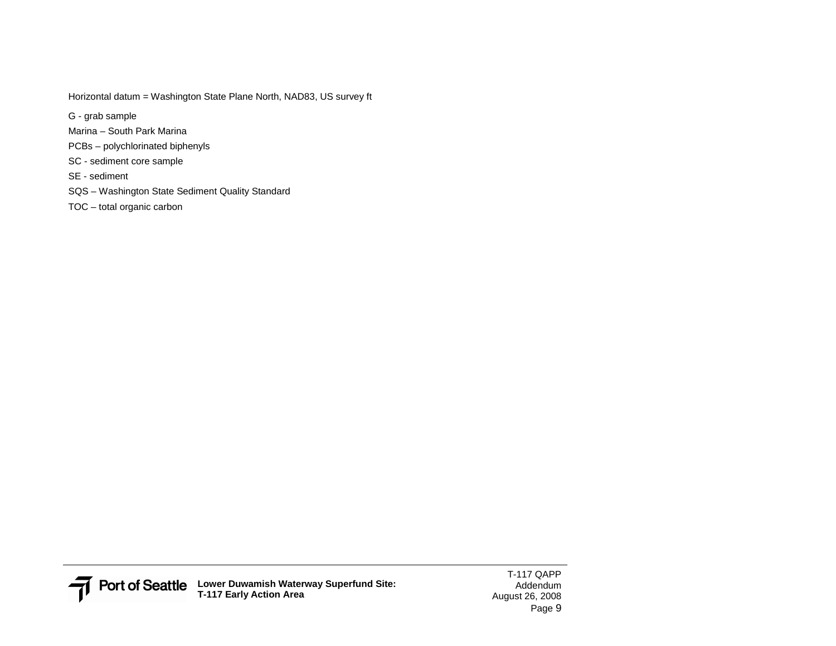Horizontal datum = Washington State Plane North, NAD83, US survey ft

G - grab sample

- Marina South Park Marina
- PCBs polychlorinated biphenyls
- SC sediment core sample
- SE sediment
- SQS Washington State Sediment Quality Standard
- TOC total organic carbon

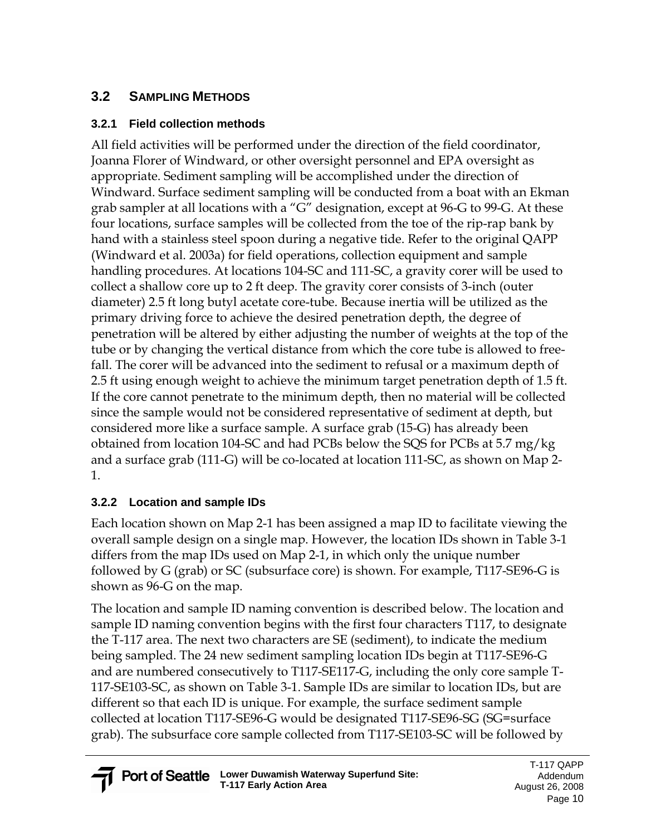### **3.2 SAMPLING METHODS**

#### **3.2.1 Field collection methods**

All field activities will be performed under the direction of the field coordinator, Joanna Florer of Windward, or other oversight personnel and EPA oversight as appropriate. Sediment sampling will be accomplished under the direction of Windward. Surface sediment sampling will be conducted from a boat with an Ekman grab sampler at all locations with a "G" designation, except at 96-G to 99-G. At these four locations, surface samples will be collected from the toe of the rip-rap bank by hand with a stainless steel spoon during a negative tide. Refer to the original QAPP (Windward et al. 2003a) for field operations, collection equipment and sample handling procedures. At locations 104-SC and 111-SC, a gravity corer will be used to collect a shallow core up to 2 ft deep. The gravity corer consists of 3-inch (outer diameter) 2.5 ft long butyl acetate core-tube. Because inertia will be utilized as the primary driving force to achieve the desired penetration depth, the degree of penetration will be altered by either adjusting the number of weights at the top of the tube or by changing the vertical distance from which the core tube is allowed to freefall. The corer will be advanced into the sediment to refusal or a maximum depth of 2.5 ft using enough weight to achieve the minimum target penetration depth of 1.5 ft. If the core cannot penetrate to the minimum depth, then no material will be collected since the sample would not be considered representative of sediment at depth, but considered more like a surface sample. A surface grab (15-G) has already been obtained from location 104-SC and had PCBs below the SQS for PCBs at 5.7 mg/kg and a surface grab (111-G) will be co-located at location 111-SC, as shown on Map 2- 1.

#### **3.2.2 Location and sample IDs**

Each location shown on Map 2-1 has been assigned a map ID to facilitate viewing the overall sample design on a single map. However, the location IDs shown in Table 3-1 differs from the map IDs used on Map 2-1, in which only the unique number followed by G (grab) or SC (subsurface core) is shown. For example, T117-SE96-G is shown as 96-G on the map.

The location and sample ID naming convention is described below. The location and sample ID naming convention begins with the first four characters T117, to designate the T-117 area. The next two characters are SE (sediment), to indicate the medium being sampled. The 24 new sediment sampling location IDs begin at T117-SE96-G and are numbered consecutively to T117-SE117-G, including the only core sample T-117-SE103-SC, as shown on Table 3-1. Sample IDs are similar to location IDs, but are different so that each ID is unique. For example, the surface sediment sample collected at location T117-SE96-G would be designated T117-SE96-SG (SG=surface grab). The subsurface core sample collected from T117-SE103-SC will be followed by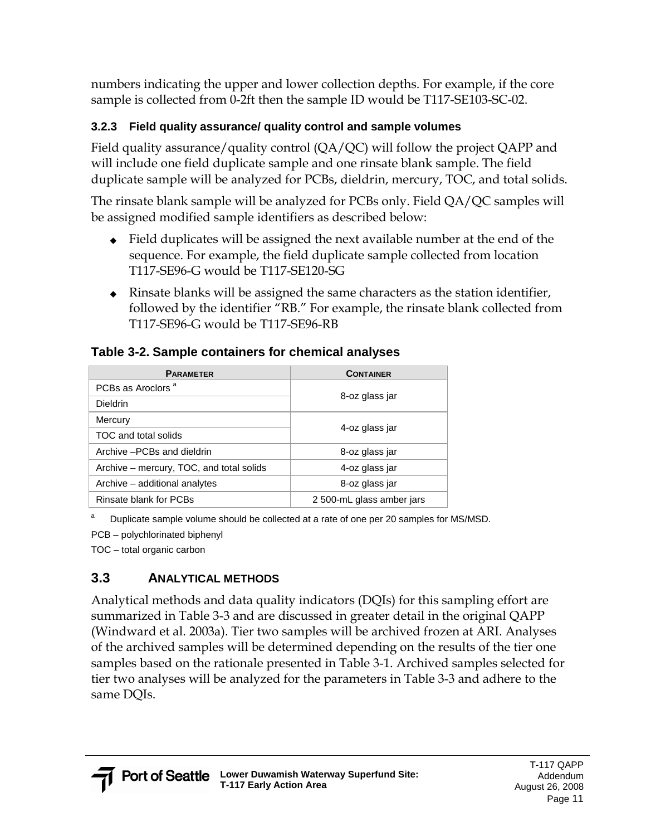numbers indicating the upper and lower collection depths. For example, if the core sample is collected from 0-2ft then the sample ID would be T117-SE103-SC-02.

#### **3.2.3 Field quality assurance/ quality control and sample volumes**

Field quality assurance/quality control  $(QA/QC)$  will follow the project QAPP and will include one field duplicate sample and one rinsate blank sample. The field duplicate sample will be analyzed for PCBs, dieldrin, mercury, TOC, and total solids.

The rinsate blank sample will be analyzed for PCBs only. Field QA/QC samples will be assigned modified sample identifiers as described below:

- ◆ Field duplicates will be assigned the next available number at the end of the sequence. For example, the field duplicate sample collected from location T117-SE96-G would be T117-SE120-SG
- $\triangle$  Rinsate blanks will be assigned the same characters as the station identifier, followed by the identifier "RB." For example, the rinsate blank collected from T117-SE96-G would be T117-SE96-RB

#### **Table 3-2. Sample containers for chemical analyses**

| <b>PARAMETER</b>                         | <b>CONTAINER</b>          |  |  |
|------------------------------------------|---------------------------|--|--|
| PCBs as Aroclors <sup>a</sup>            |                           |  |  |
| <b>Dieldrin</b>                          | 8-oz glass jar            |  |  |
| Mercury                                  |                           |  |  |
| TOC and total solids                     | 4-oz glass jar            |  |  |
| Archive - PCBs and dieldrin              | 8-oz glass jar            |  |  |
| Archive – mercury, TOC, and total solids | 4-oz glass jar            |  |  |
| Archive – additional analytes            | 8-oz glass jar            |  |  |
| Rinsate blank for PCBs                   | 2 500-mL glass amber jars |  |  |

a Duplicate sample volume should be collected at a rate of one per 20 samples for MS/MSD.

PCB – polychlorinated biphenyl

TOC – total organic carbon

### **3.3 ANALYTICAL METHODS**

Analytical methods and data quality indicators (DQIs) for this sampling effort are summarized in Table 3-3 and are discussed in greater detail in the original QAPP (Windward et al. 2003a). Tier two samples will be archived frozen at ARI. Analyses of the archived samples will be determined depending on the results of the tier one samples based on the rationale presented in Table 3-1. Archived samples selected for tier two analyses will be analyzed for the parameters in Table 3-3 and adhere to the same DQIs.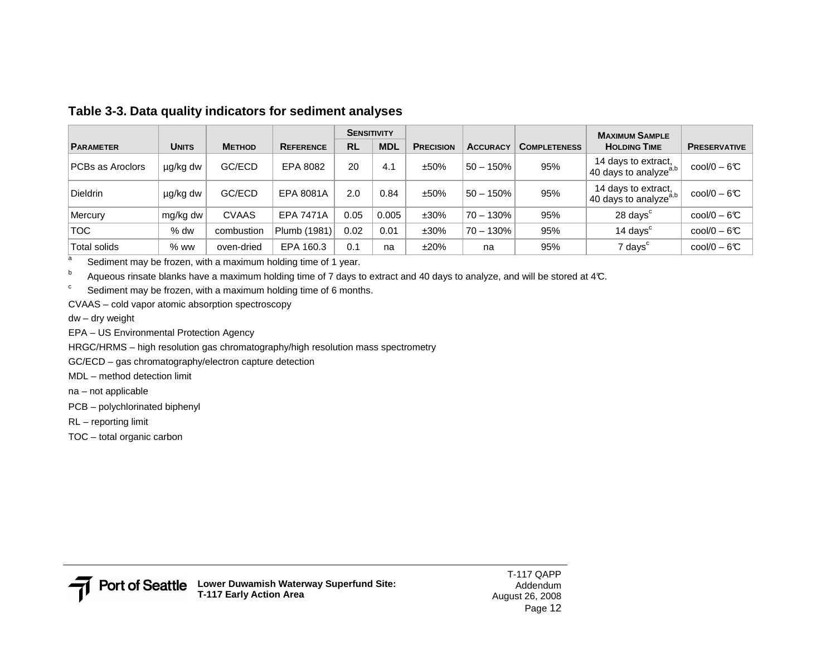|                  |              |               |                  | <b>SENSITIVITY</b> |            |                  |                 |                     | <b>MAXIMUM SAMPLE</b>                                    |                              |
|------------------|--------------|---------------|------------------|--------------------|------------|------------------|-----------------|---------------------|----------------------------------------------------------|------------------------------|
| <b>PARAMETER</b> | <b>UNITS</b> | <b>METHOD</b> | <b>REFERENCE</b> | <b>RL</b>          | <b>MDL</b> | <b>PRECISION</b> | <b>ACCURACY</b> | <b>COMPLETENESS</b> | <b>HOLDING TIME</b>                                      | <b>PRESERVATIVE</b>          |
| PCBs as Aroclors | µg/kg dw     | GC/ECD        | EPA 8082         | 20                 | 4.1        | ±50%             | $50 - 150%$     | 95%                 | 14 days to extract,<br>40 days to analyze <sup>a,b</sup> | $\text{cool}/0 - 6\text{C}$  |
| <b>Dieldrin</b>  | µg/kg dw     | GC/ECD        | EPA 8081A        | 2.0                | 0.84       | ±50%             | $50 - 150%$     | 95%                 | 14 days to extract,<br>40 days to analyze <sup>a,b</sup> | $\text{cool}/0 - 6\text{C}$  |
| Mercury          | mg/kg dw     | <b>CVAAS</b>  | <b>EPA 7471A</b> | 0.05               | 0.005      | $±30\%$          | $70 - 130%$     | 95%                 | 28 days <sup>c</sup>                                     | $\text{cool/O} - 6\text{°C}$ |
| <b>TOC</b>       | $%$ dw       | combustion    | Plumb (1981)     | 0.02               | 0.01       | $±30\%$          | $70 - 130%$     | 95%                 | 14 days <sup>c</sup>                                     | $\text{cool}/0 - 6\text{C}$  |
| Total solids     | $%$ ww       | oven-dried    | EPA 160.3        | 0.1                | na         | ±20%             | na              | 95%                 | 7 days <sup>c</sup>                                      | $\text{cool/O} - 6\text{°C}$ |

#### **Table 3-3. Data quality indicators for sediment analyses**

Exediment may be frozen, with a maximum holding time of 1 year.

 $^{\rm b}$  Aqueous rinsate blanks have a maximum holding time of 7 days to extract and 40 days to analyze, and will be stored at 4°C.

 $\degree$  Sediment may be frozen, with a maximum holding time of 6 months.

CVAAS – cold vapor atomic absorption spectroscopy

dw – dry weight

EPA – US Environmental Protection Agency

HRGC/HRMS – high resolution gas chromatography/high resolution mass spectrometry

GC/ECD – gas chromatography/electron capture detection

MDL – method detection limit

na – not applicable

PCB – polychlorinated biphenyl

RL – reporting limit

TOC – total organic carbon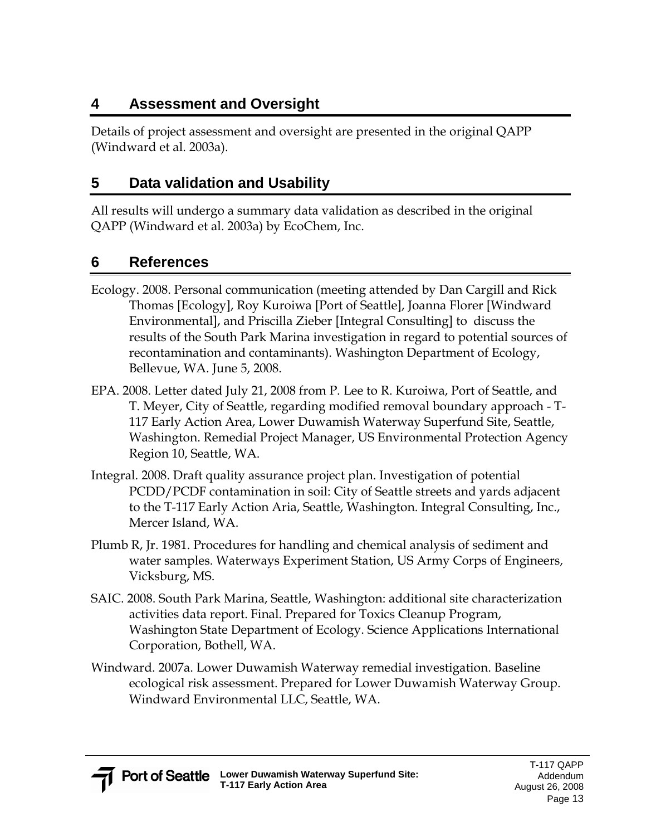## **4 Assessment and Oversight**

Details of project assessment and oversight are presented in the original QAPP (Windward et al. 2003a).

### **5 Data validation and Usability**

All results will undergo a summary data validation as described in the original QAPP (Windward et al. 2003a) by EcoChem, Inc.

### **6 References**

- Ecology. 2008. Personal communication (meeting attended by Dan Cargill and Rick Thomas [Ecology], Roy Kuroiwa [Port of Seattle], Joanna Florer [Windward Environmental], and Priscilla Zieber [Integral Consulting] to discuss the results of the South Park Marina investigation in regard to potential sources of recontamination and contaminants). Washington Department of Ecology, Bellevue, WA. June 5, 2008.
- EPA. 2008. Letter dated July 21, 2008 from P. Lee to R. Kuroiwa, Port of Seattle, and T. Meyer, City of Seattle, regarding modified removal boundary approach - T-117 Early Action Area, Lower Duwamish Waterway Superfund Site, Seattle, Washington. Remedial Project Manager, US Environmental Protection Agency Region 10, Seattle, WA.
- Integral. 2008. Draft quality assurance project plan. Investigation of potential PCDD/PCDF contamination in soil: City of Seattle streets and yards adjacent to the T-117 Early Action Aria, Seattle, Washington. Integral Consulting, Inc., Mercer Island, WA.
- Plumb R, Jr. 1981. Procedures for handling and chemical analysis of sediment and water samples. Waterways Experiment Station, US Army Corps of Engineers, Vicksburg, MS.
- SAIC. 2008. South Park Marina, Seattle, Washington: additional site characterization activities data report. Final. Prepared for Toxics Cleanup Program, Washington State Department of Ecology. Science Applications International Corporation, Bothell, WA.
- Windward. 2007a. Lower Duwamish Waterway remedial investigation. Baseline ecological risk assessment. Prepared for Lower Duwamish Waterway Group. Windward Environmental LLC, Seattle, WA.